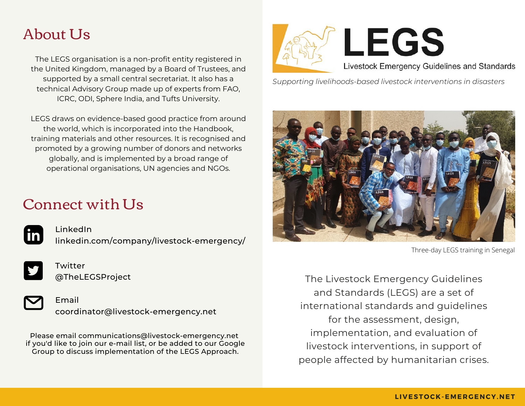# About Ls

The LEGS organisation is a non-profit entity registered in the United Kingdom, managed by a Board of Trustees, and supported by a small central secretariat. It also has a technical Advisory Group made up of experts from FAO, ICRC, ODI, Sphere India, and Tufts University.

LEGS draws on evidence-based good practice from around the world, which is incorporated into the Handbook, training materials and other resources. It is recognised and promoted by a growing number of donors and networks globally, and is implemented by a broad range of operational organisations, UN agencies and NGOs.

## Connect with Us



LinkedIn linkedin.com/company/livestock-emergency/



Twitter @TheLEGSProject



Email coordinator@livestock-emergency.net

Please email communications@livestock-emergency.net if you'd like to join our e-mail list, or be added to our Google Group to discuss implementation of the LEGS Approach.



*Supporting livelihoods-based livestock interventions in disasters*



Three-day LEGS training in Senegal

The Livestock Emergency Guidelines and Standards (LEGS) are a set of international standards and guidelines for the assessment, design, implementation, and evaluation of livestock interventions, in support of people affected by humanitarian crises.